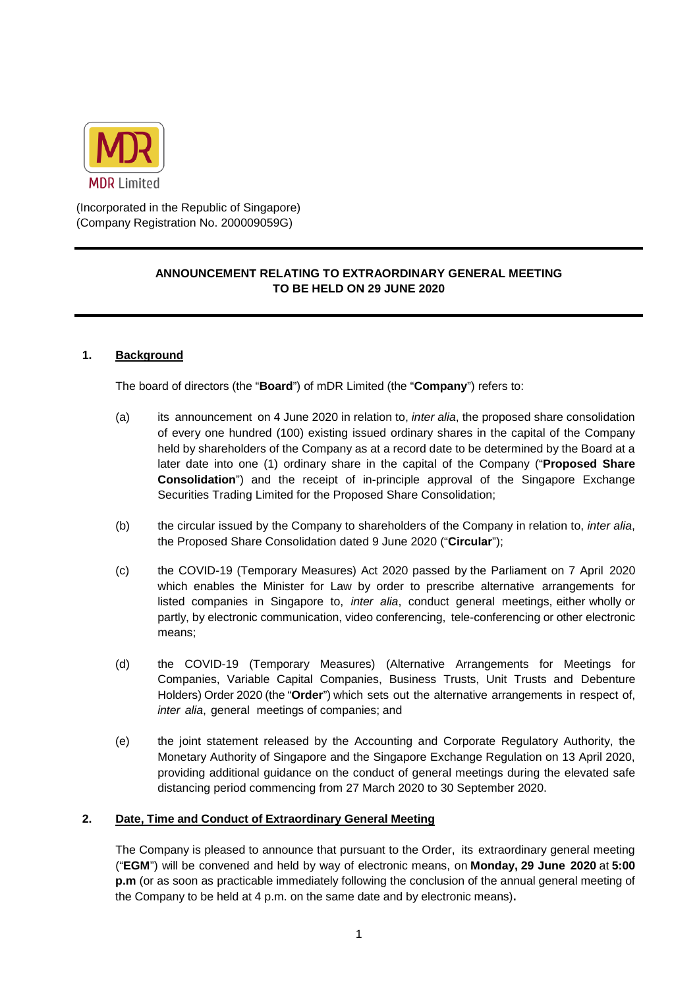

(Incorporated in the Republic of Singapore) (Company Registration No. 200009059G)

# **ANNOUNCEMENT RELATING TO EXTRAORDINARY GENERAL MEETING TO BE HELD ON 29 JUNE 2020**

# **1. Background**

The board of directors (the "**Board**") of mDR Limited (the "**Company**") refers to:

- (a) its announcement on 4 June 2020 in relation to, *inter alia*, the proposed share consolidation of every one hundred (100) existing issued ordinary shares in the capital of the Company held by shareholders of the Company as at a record date to be determined by the Board at a later date into one (1) ordinary share in the capital of the Company ("**Proposed Share Consolidation**") and the receipt of in-principle approval of the Singapore Exchange Securities Trading Limited for the Proposed Share Consolidation;
- (b) the circular issued by the Company to shareholders of the Company in relation to, *inter alia*, the Proposed Share Consolidation dated 9 June 2020 ("**Circular**");
- (c) the COVID-19 (Temporary Measures) Act 2020 passed by the Parliament on 7 April 2020 which enables the Minister for Law by order to prescribe alternative arrangements for listed companies in Singapore to, *inter alia*, conduct general meetings, either wholly or partly, by electronic communication, video conferencing, tele-conferencing or other electronic means;
- (d) the COVID-19 (Temporary Measures) (Alternative Arrangements for Meetings for Companies, Variable Capital Companies, Business Trusts, Unit Trusts and Debenture Holders) Order 2020 (the "**Order**") which sets out the alternative arrangements in respect of, *inter alia*, general meetings of companies; and
- (e) the joint statement released by the Accounting and Corporate Regulatory Authority, the Monetary Authority of Singapore and the Singapore Exchange Regulation on 13 April 2020, providing additional guidance on the conduct of general meetings during the elevated safe distancing period commencing from 27 March 2020 to 30 September 2020.

#### **2. Date, Time and Conduct of Extraordinary General Meeting**

The Company is pleased to announce that pursuant to the Order, its extraordinary general meeting ("**EGM**") will be convened and held by way of electronic means, on **Monday, 29 June 2020** at **5:00 p.m** (or as soon as practicable immediately following the conclusion of the annual general meeting of the Company to be held at 4 p.m. on the same date and by electronic means)**.**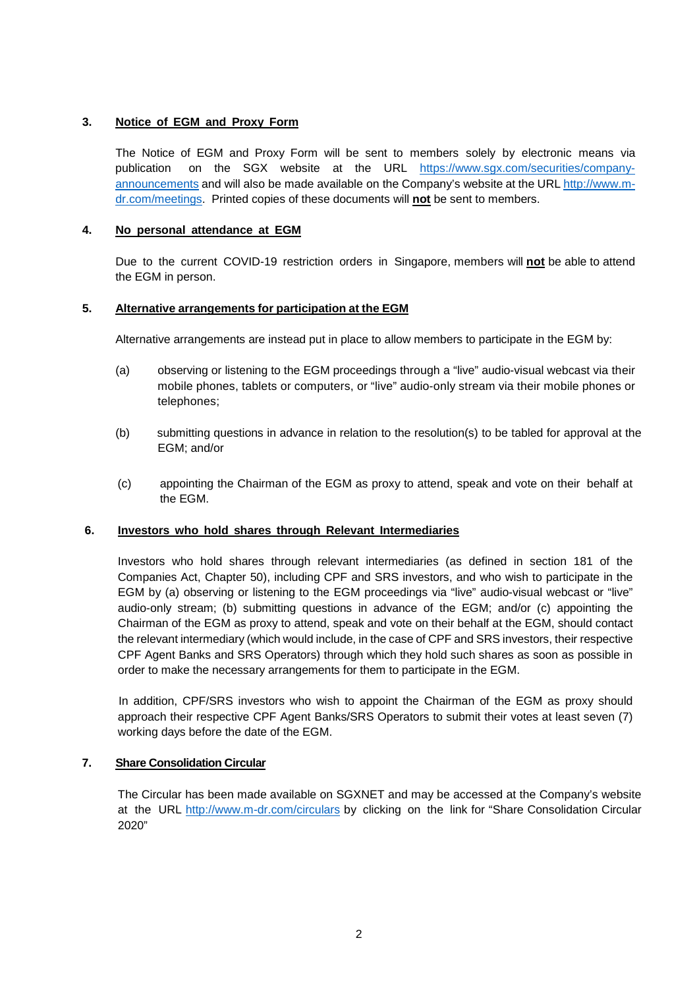# **3. Notice of EGM and Proxy Form**

The Notice of EGM and Proxy Form will be sent to members solely by electronic means via publication on the SGX website at the URL [https://www.sgx.com/securities/company](https://www.sgx.com/securities/company-announcements)[announcements](https://www.sgx.com/securities/company-announcements) and will also be made available on the Company's website at the URL [http://www.m](http://www.m-dr.com/meetings)[dr.com/meetings.](http://www.m-dr.com/meetings) Printed copies of these documents will **not** be sent to members.

# **4. No personal attendance at EGM**

Due to the current COVID-19 restriction orders in Singapore, members will **not** be able to attend the EGM in person.

#### **5. Alternative arrangements for participation at the EGM**

Alternative arrangements are instead put in place to allow members to participate in the EGM by:

- (a) observing or listening to the EGM proceedings through a "live" audio-visual webcast via their mobile phones, tablets or computers, or "live" audio-only stream via their mobile phones or telephones;
- (b) submitting questions in advance in relation to the resolution(s) to be tabled for approval at the EGM; and/or
- (c) appointing the Chairman of the EGM as proxy to attend, speak and vote on their behalf at the EGM.

#### **6. Investors who hold shares through Relevant Intermediaries**

Investors who hold shares through relevant intermediaries (as defined in section 181 of the Companies Act, Chapter 50), including CPF and SRS investors, and who wish to participate in the EGM by (a) observing or listening to the EGM proceedings via "live" audio-visual webcast or "live" audio-only stream; (b) submitting questions in advance of the EGM; and/or (c) appointing the Chairman of the EGM as proxy to attend, speak and vote on their behalf at the EGM, should contact the relevant intermediary (which would include, in the case of CPF and SRS investors, their respective CPF Agent Banks and SRS Operators) through which they hold such shares as soon as possible in order to make the necessary arrangements for them to participate in the EGM.

In addition, CPF/SRS investors who wish to appoint the Chairman of the EGM as proxy should approach their respective CPF Agent Banks/SRS Operators to submit their votes at least seven (7) working days before the date of the EGM.

## **7. Share Consolidation Circular**

The Circular has been made available on SGXNET and may be accessed at the Company's website at the URL <http://www.m-dr.com/circulars> by clicking on the link for "Share Consolidation Circular 2020"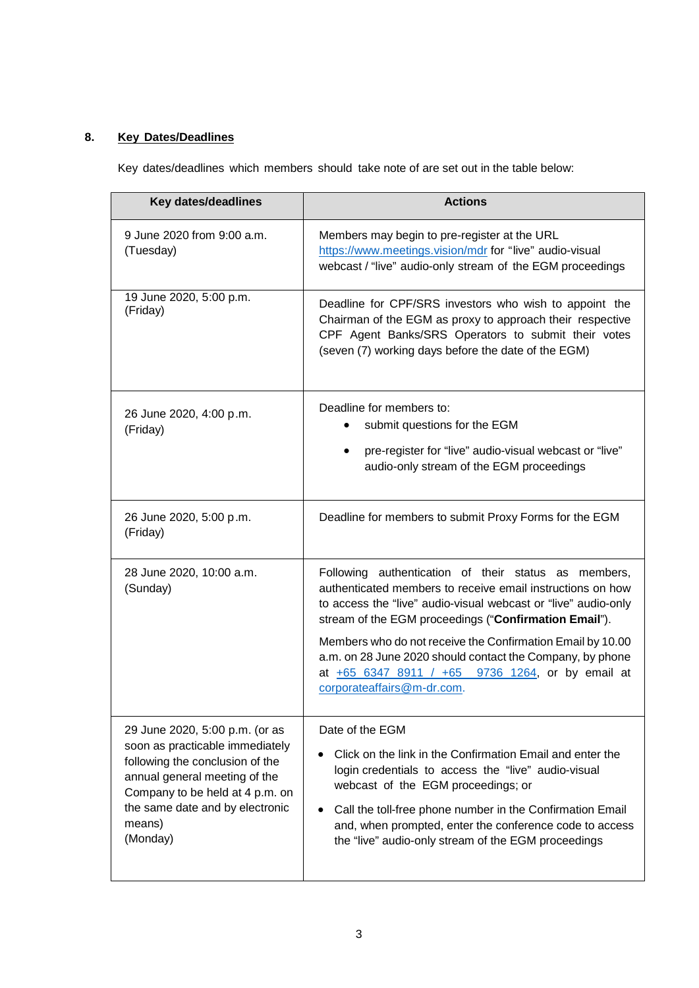# **8. Key Dates/Deadlines**

Key dates/deadlines which members should take note of are set out in the table below:

| <b>Key dates/deadlines</b>                                                                                                                                                                                                        | <b>Actions</b>                                                                                                                                                                                                                                                                                                                                                                                                                                             |
|-----------------------------------------------------------------------------------------------------------------------------------------------------------------------------------------------------------------------------------|------------------------------------------------------------------------------------------------------------------------------------------------------------------------------------------------------------------------------------------------------------------------------------------------------------------------------------------------------------------------------------------------------------------------------------------------------------|
| 9 June 2020 from 9:00 a.m.<br>(Tuesday)                                                                                                                                                                                           | Members may begin to pre-register at the URL<br>https://www.meetings.vision/mdr for "live" audio-visual<br>webcast / "live" audio-only stream of the EGM proceedings                                                                                                                                                                                                                                                                                       |
| 19 June 2020, 5:00 p.m.<br>(Friday)                                                                                                                                                                                               | Deadline for CPF/SRS investors who wish to appoint the<br>Chairman of the EGM as proxy to approach their respective<br>CPF Agent Banks/SRS Operators to submit their votes<br>(seven (7) working days before the date of the EGM)                                                                                                                                                                                                                          |
| 26 June 2020, 4:00 p.m.<br>(Friday)                                                                                                                                                                                               | Deadline for members to:<br>submit questions for the EGM<br>pre-register for "live" audio-visual webcast or "live"<br>$\bullet$<br>audio-only stream of the EGM proceedings                                                                                                                                                                                                                                                                                |
| 26 June 2020, 5:00 p.m.<br>(Friday)                                                                                                                                                                                               | Deadline for members to submit Proxy Forms for the EGM                                                                                                                                                                                                                                                                                                                                                                                                     |
| 28 June 2020, 10:00 a.m.<br>(Sunday)                                                                                                                                                                                              | Following authentication of their status as members,<br>authenticated members to receive email instructions on how<br>to access the "live" audio-visual webcast or "live" audio-only<br>stream of the EGM proceedings ("Confirmation Email").<br>Members who do not receive the Confirmation Email by 10.00<br>a.m. on 28 June 2020 should contact the Company, by phone<br>at +65 6347 8911 / +65 9736 1264, or by email at<br>corporateaffairs@m-dr.com. |
| 29 June 2020, 5:00 p.m. (or as<br>soon as practicable immediately<br>following the conclusion of the<br>annual general meeting of the<br>Company to be held at 4 p.m. on<br>the same date and by electronic<br>means)<br>(Monday) | Date of the EGM<br>Click on the link in the Confirmation Email and enter the<br>login credentials to access the "live" audio-visual<br>webcast of the EGM proceedings; or<br>Call the toll-free phone number in the Confirmation Email<br>and, when prompted, enter the conference code to access<br>the "live" audio-only stream of the EGM proceedings                                                                                                   |